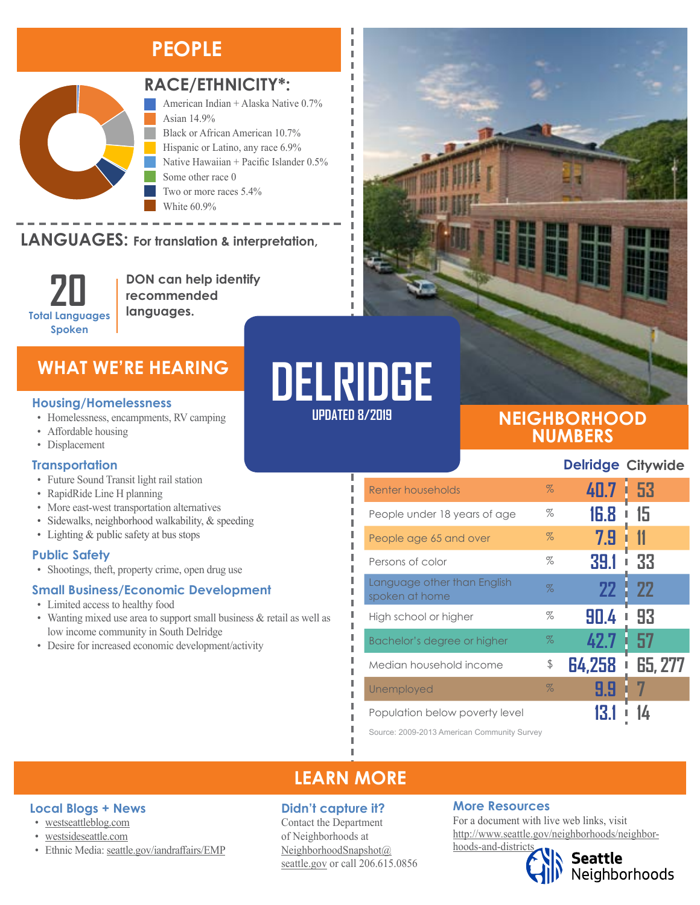## **PEOPLE**



#### **RACE/ETHNICITY\*:**

American Indian + Alaska Native 0.7% Asian 14.9% Black or African American 10.7% Hispanic or Latino, any race 6.9% Native Hawaiian + Pacific Islander 0.5% Some other race 0 Two or more races 5.4%

White 60.9%

**LANGUAGES:** For translation & interpretation, TANG-HAC



**DON can help identify recommended languages.**

## **WHAT WE'RE HEARING**

- Homelessness, encampments, RV camping
- Affordable housing
- Displacement

#### **Transportation**

- Future Sound Transit light rail station
- RapidRide Line H planning
- More east-west transportation alternatives
- Sidewalks, neighborhood walkability, & speeding
- Lighting & public safety at bus stops

#### **Public Safety**

• Shootings, theft, property crime, open drug use

#### **Small Business/Economic Development**

- Limited access to healthy food
- Wanting mixed use area to support small business & retail as well as low income community in South Delridge
- Desire for increased economic development/activity

# **WHAT WE'RE HEARING DELRIDGE**

J.

Л л I

л I Л

#### **UPDATED 8/2019**

### **NEIGHBORHOOD NUMBERS**

**Delridge Citywide** Renter households % **40.7 53** People under 18 years of age  $\frac{16.8}{15.8}$  **15** People age 65 and over % **7.9 11** Persons of color % **39.1 33** Language other than English spoken at home % **22 22** High school or higher  $\frac{1}{2}$  **90.4 i 93** Bachelor's degree or higher % **42.7 57** Median household income \$ **64,258 65, 277** Unemployed **9.9 9.9** Population below poverty level **13.1 14**

Source: 2009-2013 American Community Survey

## **LEARN MORE**

#### **Didn't capture it?**

Contact the Department of Neighborhoods at [NeighborhoodSnapshot@](mailto:NeighborhoodSnapshot%40%0Aseattle.gov?subject=) [seattle.gov](mailto:NeighborhoodSnapshot%40%0Aseattle.gov?subject=) or call 206.615.0856

#### **More Resources**

For a document with live web links, visit [http://www.seattle.gov/neighborhoods/neighbor](http://www.seattle.gov/neighborhoods/neighborhoods-and-districts)[hoods-and-districts](http://www.seattle.gov/neighborhoods/neighborhoods-and-districts)



**Seattle**<br>Neighborhoods

• [westseattleblog.com](http://westseattleblog.com/) • [westsideseattle.com](https://www.westsideseattle.com/west-seattle-herald)

**Local Blogs + News**

• Ethnic Media: [seattle.gov/iandraffairs/EMP](http://www.seattle.gov/iandraffairs/EMP)